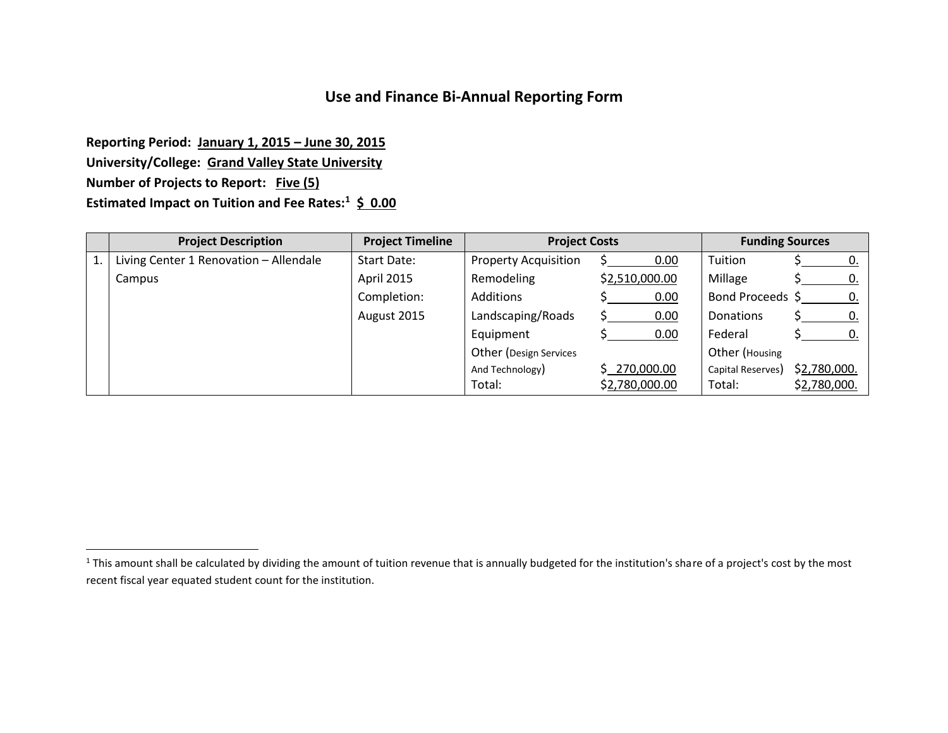## **Use and Finance Bi-Annual Reporting Form**

**Reporting Period: January 1, 2015 – June 30, 2015 University/College: Grand Valley State University Number of Projects to Report: Five (5) Estimated Impact on Tuition and Fee Rates:<sup>1</sup> \$ 0.00**

 $\overline{a}$ 

|    | <b>Project Description</b>             | <b>Project Timeline</b> | <b>Project Costs</b>        |                | <b>Funding Sources</b> |              |
|----|----------------------------------------|-------------------------|-----------------------------|----------------|------------------------|--------------|
| 1. | Living Center 1 Renovation - Allendale | Start Date:             | <b>Property Acquisition</b> | 0.00           | Tuition                | 0.           |
|    | Campus                                 | <b>April 2015</b>       | Remodeling                  | \$2,510,000.00 | Millage                | 0.           |
|    |                                        | Completion:             | Additions                   | 0.00           | Bond Proceeds \$       | 0.           |
|    |                                        | August 2015             | Landscaping/Roads           | 0.00           | <b>Donations</b>       | 0.           |
|    |                                        |                         | Equipment                   | 0.00           | Federal                | 0.           |
|    |                                        |                         | Other (Design Services      |                | Other (Housing         |              |
|    |                                        |                         | And Technology)             | \$270,000.00   | Capital Reserves)      | \$2,780,000. |
|    |                                        |                         | Total:                      | \$2,780,000.00 | Total:                 | \$2,780,000. |

<sup>&</sup>lt;sup>1</sup> This amount shall be calculated by dividing the amount of tuition revenue that is annually budgeted for the institution's share of a project's cost by the most recent fiscal year equated student count for the institution.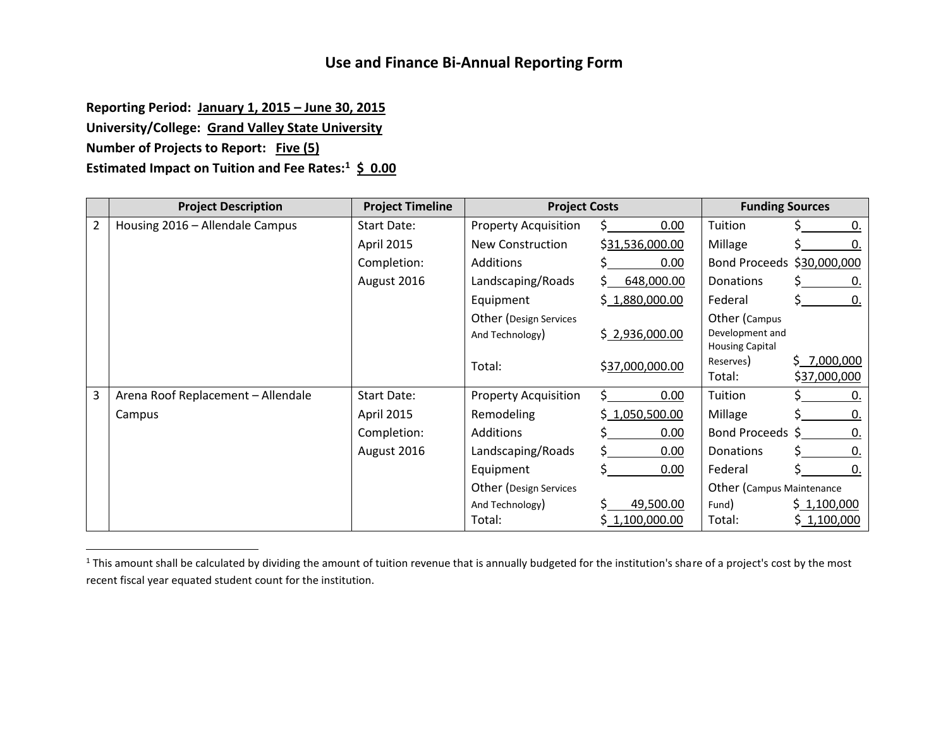## **Use and Finance Bi-Annual Reporting Form**

**Reporting Period: January 1, 2015 – June 30, 2015**

**University/College: Grand Valley State University**

**Number of Projects to Report: Five (5)**

 $\overline{a}$ 

**Estimated Impact on Tuition and Fee Rates:<sup>1</sup> \$ 0.00**

|   | <b>Project Description</b>         | <b>Project Timeline</b> | <b>Project Costs</b>        |                 | <b>Funding Sources</b>              |              |
|---|------------------------------------|-------------------------|-----------------------------|-----------------|-------------------------------------|--------------|
| 2 | Housing 2016 - Allendale Campus    | Start Date:             | <b>Property Acquisition</b> | 0.00            | Tuition                             | 0.           |
|   |                                    | April 2015              | New Construction            | \$31,536,000.00 | Millage                             | 0.           |
|   |                                    | Completion:             | Additions                   | 0.00            | Bond Proceeds \$30,000,000          |              |
|   |                                    | August 2016             | Landscaping/Roads           | 648,000.00      | <b>Donations</b>                    | 0.           |
|   |                                    |                         | Equipment                   | \$1,880,000.00  | Federal                             | 0.           |
|   |                                    |                         | Other (Design Services      |                 | Other (Campus                       |              |
|   |                                    |                         | And Technology)             | \$2,936,000.00  | Development and                     |              |
|   |                                    |                         |                             |                 | <b>Housing Capital</b><br>Reserves) | \$7,000,000  |
|   |                                    |                         | Total:                      | \$37,000,000.00 | Total:                              | \$37,000,000 |
| 3 | Arena Roof Replacement - Allendale | <b>Start Date:</b>      | <b>Property Acquisition</b> | 0.00            | Tuition                             | 0.           |
|   | Campus                             | April 2015              | Remodeling                  | \$1,050,500.00  | Millage                             | 0.           |
|   |                                    | Completion:             | Additions                   | 0.00            | Bond Proceeds \$                    | 0.           |
|   |                                    | August 2016             | Landscaping/Roads           | 0.00            | <b>Donations</b>                    | 0.           |
|   |                                    |                         | Equipment                   | 0.00            | Federal                             | 0.           |
|   |                                    |                         | Other (Design Services      |                 | Other (Campus Maintenance           |              |
|   |                                    |                         | And Technology)             | 49,500.00       | Fund)                               | \$1,100,000  |
|   |                                    |                         | Total:                      | \$1,100,000.00  | Total:                              | \$1,100,000  |

<sup>&</sup>lt;sup>1</sup> This amount shall be calculated by dividing the amount of tuition revenue that is annually budgeted for the institution's share of a project's cost by the most recent fiscal year equated student count for the institution.